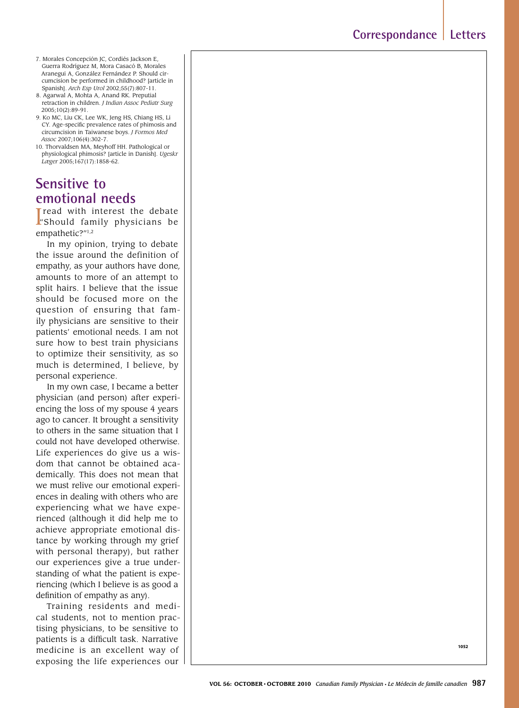- 7. Morales Concepción JC, Cordiés Jackson E, Guerra Rodríguez M, Mora Casacó B, Morales Aranegui A, González Fernández P. Should circumcision be performed in childhood? [article in Spanish]. *Arch Esp Urol* 2002;55(7):807-11.
- 8. Agarwal A, Mohta A, Anand RK. Preputial retraction in children. *J Indian Assoc Pediatr Surg* 2005;10(2):89-91.
- 9. Ko MC, Liu CK, Lee WK, Jeng HS, Chiang HS, Li CY. Age-specific prevalence rates of phimosis and circumcision in Taiwanese boys. *J Formos Med Assoc* 2007;106(4):302-7.
- 10. Thorvaldsen MA, Meyhoff HH. Pathological or physiological phimosis? [article in Danish]. *Ugeskr Læger* 2005;167(17):1858-62.

# **Sensitive to emotional needs**

I read with interest the debate<br>I Should family physicians be Tread with interest the debate empathetic?"1,2

In my opinion, trying to debate the issue around the definition of empathy, as your authors have done*,* amounts to more of an attempt to split hairs. I believe that the issue should be focused more on the question of ensuring that family physicians are sensitive to their patients' emotional needs. I am not sure how to best train physicians to optimize their sensitivity, as so much is determined, I believe, by personal experience.

In my own case, I became a better physician (and person) after experiencing the loss of my spouse 4 years ago to cancer. It brought a sensitivity to others in the same situation that I could not have developed otherwise. Life experiences do give us a wisdom that cannot be obtained academically. This does not mean that we must relive our emotional experiences in dealing with others who are experiencing what we have experienced (although it did help me to achieve appropriate emotional distance by working through my grief with personal therapy), but rather our experiences give a true understanding of what the patient is experiencing (which I believe is as good a definition of empathy as any).

Training residents and medical students, not to mention practising physicians, to be sensitive to patients is a difficult task. Narrative medicine is an excellent way of exposing the life experiences our